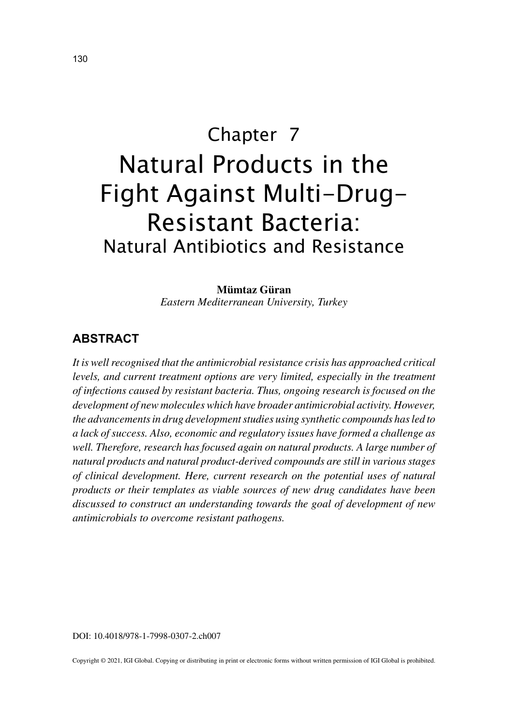# Chapter 7 Natural Products in the Fight Against Multi-Drug-Resistant Bacteria: Natural Antibiotics and Resistance

**Mümtaz Güran** *Eastern Mediterranean University, Turkey*

## **ABSTRACT**

*It is well recognised that the antimicrobial resistance crisis has approached critical levels, and current treatment options are very limited, especially in the treatment of infections caused by resistant bacteria. Thus, ongoing research is focused on the development of new molecules which have broader antimicrobial activity. However, the advancements in drug development studies using synthetic compounds has led to a lack of success. Also, economic and regulatory issues have formed a challenge as*  well. Therefore, research has focused again on natural products. A large number of *natural products and natural product-derived compounds are still in various stages of clinical development. Here, current research on the potential uses of natural products or their templates as viable sources of new drug candidates have been discussed to construct an understanding towards the goal of development of new antimicrobials to overcome resistant pathogens.*

DOI: 10.4018/978-1-7998-0307-2.ch007

Copyright © 2021, IGI Global. Copying or distributing in print or electronic forms without written permission of IGI Global is prohibited.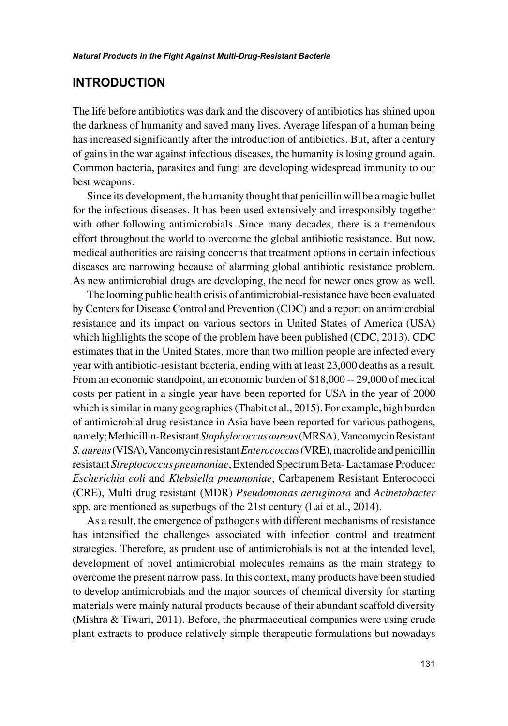### **INTRODUCTION**

The life before antibiotics was dark and the discovery of antibiotics has shined upon the darkness of humanity and saved many lives. Average lifespan of a human being has increased significantly after the introduction of antibiotics. But, after a century of gains in the war against infectious diseases, the humanity is losing ground again. Common bacteria, parasites and fungi are developing widespread immunity to our best weapons.

Since its development, the humanity thought that penicillin will be a magic bullet for the infectious diseases. It has been used extensively and irresponsibly together with other following antimicrobials. Since many decades, there is a tremendous effort throughout the world to overcome the global antibiotic resistance. But now, medical authorities are raising concerns that treatment options in certain infectious diseases are narrowing because of alarming global antibiotic resistance problem. As new antimicrobial drugs are developing, the need for newer ones grow as well.

The looming public health crisis of antimicrobial-resistance have been evaluated by Centers for Disease Control and Prevention (CDC) and a report on antimicrobial resistance and its impact on various sectors in United States of America (USA) which highlights the scope of the problem have been published (CDC, 2013). CDC estimates that in the United States, more than two million people are infected every year with antibiotic-resistant bacteria, ending with at least 23,000 deaths as a result. From an economic standpoint, an economic burden of \$18,000 -- 29,000 of medical costs per patient in a single year have been reported for USA in the year of 2000 which is similar in many geographies (Thabit et al., 2015). For example, high burden of antimicrobial drug resistance in Asia have been reported for various pathogens, namely; Methicillin-Resistant *Staphylococcus aureus* (MRSA), Vancomycin Resistant *S. aureus* (VISA), Vancomycin resistant *Enterococcus* (VRE), macrolide and penicillin resistant *Streptococcus pneumoniae*, Extended Spectrum Beta- Lactamase Producer *Escherichia coli* and *Klebsiella pneumoniae*, Carbapenem Resistant Enterococci (CRE), Multi drug resistant (MDR) *Pseudomonas aeruginosa* and *Acinetobacter* spp. are mentioned as superbugs of the 21st century (Lai et al., 2014).

As a result, the emergence of pathogens with different mechanisms of resistance has intensified the challenges associated with infection control and treatment strategies. Therefore, as prudent use of antimicrobials is not at the intended level, development of novel antimicrobial molecules remains as the main strategy to overcome the present narrow pass. In this context, many products have been studied to develop antimicrobials and the major sources of chemical diversity for starting materials were mainly natural products because of their abundant scaffold diversity (Mishra & Tiwari, 2011). Before, the pharmaceutical companies were using crude plant extracts to produce relatively simple therapeutic formulations but nowadays